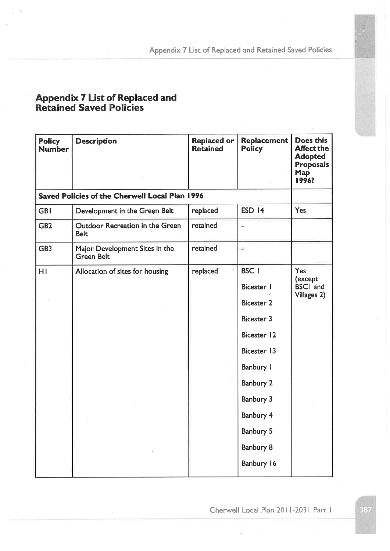| <b>Policy</b><br><b>Number</b> | <b>Description</b>                                  | <b>Replaced or</b><br><b>Retained</b> | <b>Replacement</b><br><b>Policy</b>                                                                                                                                                                          | Does this<br><b>Affect the</b><br><b>Adopted</b><br><b>Proposals</b><br><b>Map</b><br>1996? |
|--------------------------------|-----------------------------------------------------|---------------------------------------|--------------------------------------------------------------------------------------------------------------------------------------------------------------------------------------------------------------|---------------------------------------------------------------------------------------------|
|                                | Saved Policies of the Cherwell Local Plan 1996      |                                       |                                                                                                                                                                                                              |                                                                                             |
| <b>GBI</b>                     | Development in the Green Belt                       | replaced                              | <b>ESD 14</b>                                                                                                                                                                                                | Yes                                                                                         |
| GB <sub>2</sub>                | Outdoor Recreation in the Green<br><b>Belt</b>      | retained                              | ü                                                                                                                                                                                                            |                                                                                             |
| GB <sub>3</sub>                | Major Development Sites in the<br><b>Green Belt</b> | retained                              | Ξ                                                                                                                                                                                                            |                                                                                             |
| HI                             | Allocation of sites for housing                     | replaced                              | <b>BSC</b> 1<br><b>Bicester</b> I<br><b>Bicester 2</b><br><b>Bicester 3</b><br><b>Bicester 12</b><br>Bicester 13<br>Banbury I<br>Banbury 2<br>Banbury 3<br>Banbury 4<br>Banbury 5<br>Banbury 8<br>Banbury 16 | Yes<br>(except<br><b>BSCI</b> and<br>Villages 2)                                            |

Cherwell Local Plan 2011-2031 Part 1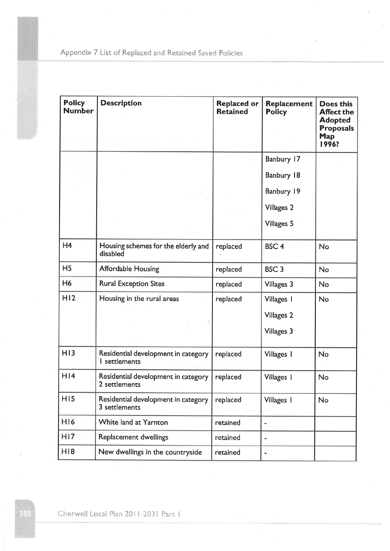| <b>Policy</b><br><b>Number</b> | <b>Description</b>                                   | <b>Replaced or</b><br><b>Retained</b> | Replacement<br><b>Policy</b>                         | <b>Does this</b><br><b>Affect the</b><br><b>Adopted</b><br><b>Proposals</b><br><b>Map</b><br>1996? |
|--------------------------------|------------------------------------------------------|---------------------------------------|------------------------------------------------------|----------------------------------------------------------------------------------------------------|
|                                |                                                      |                                       | Banbury 17                                           |                                                                                                    |
|                                |                                                      |                                       | Banbury 18                                           |                                                                                                    |
|                                |                                                      |                                       | Banbury 19                                           |                                                                                                    |
|                                |                                                      |                                       | <b>Villages 2</b>                                    |                                                                                                    |
|                                |                                                      |                                       | <b>Villages 5</b>                                    |                                                                                                    |
| H <sub>4</sub>                 | Housing schemes for the elderly and<br>disabled      | replaced                              | BSC <sub>4</sub>                                     | <b>No</b>                                                                                          |
| H <sub>5</sub>                 | <b>Affordable Housing</b>                            | replaced                              | BSC <sub>3</sub>                                     | <b>No</b>                                                                                          |
| H <sub>6</sub>                 | <b>Rural Exception Sites</b>                         | replaced                              | Villages 3                                           | <b>No</b>                                                                                          |
| H12                            | Housing in the rural areas                           | replaced                              | Villages 1<br><b>Villages 2</b><br><b>Villages 3</b> | <b>No</b>                                                                                          |
| H13                            | Residential development in category<br>I settlements | replaced                              | Villages 1                                           | No                                                                                                 |
| H14                            | Residential development in category<br>2 settlements | replaced                              | Villages 1                                           | No                                                                                                 |
| H15                            | Residential development in category<br>3 settlements | replaced                              | Villages 1                                           | No                                                                                                 |
| H16                            | White land at Yarnton                                | retained                              | $\overline{\phantom{a}}$                             |                                                                                                    |
| H17                            | Replacement dwellings                                | retained                              | ÷                                                    |                                                                                                    |
| H18                            | New dwellings in the countryside                     | retained                              | ÷                                                    |                                                                                                    |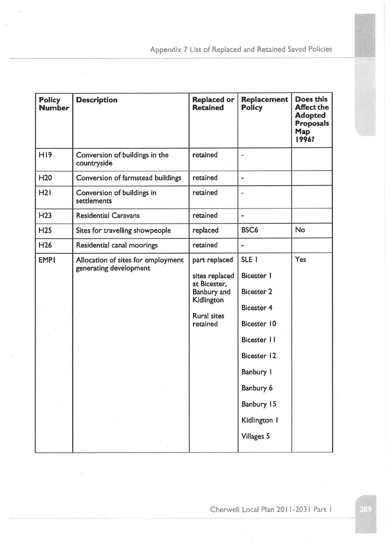| <b>Policy</b><br><b>Number</b> | <b>Description</b>                                           | <b>Replaced or</b><br><b>Retained</b>                                                                                 | <b>Replacement</b><br><b>Policy</b>                                                                                                                                                                                  | Does this<br><b>Affect the</b><br><b>Adopted</b><br><b>Proposals</b><br>Map<br>1996? |
|--------------------------------|--------------------------------------------------------------|-----------------------------------------------------------------------------------------------------------------------|----------------------------------------------------------------------------------------------------------------------------------------------------------------------------------------------------------------------|--------------------------------------------------------------------------------------|
| <b>H19</b>                     | Conversion of buildings in the<br>countryside                | retained                                                                                                              | m.                                                                                                                                                                                                                   |                                                                                      |
| <b>H20</b>                     | Conversion of farmstead buildings                            | retained                                                                                                              | $\blacksquare$                                                                                                                                                                                                       |                                                                                      |
| H2I                            | Conversion of buildings in<br>settlements                    | retained                                                                                                              |                                                                                                                                                                                                                      |                                                                                      |
| H <sub>23</sub>                | <b>Residential Caravans</b>                                  | retained                                                                                                              |                                                                                                                                                                                                                      |                                                                                      |
| H <sub>25</sub>                | Sites for travelling showpeople                              | replaced                                                                                                              | BSC <sub>6</sub>                                                                                                                                                                                                     | <b>No</b>                                                                            |
| H <sub>26</sub>                | Residential canal moorings                                   | retained                                                                                                              |                                                                                                                                                                                                                      |                                                                                      |
| <b>EMPI</b>                    | Allocation of sites for employment<br>generating development | part replaced<br>sites replaced<br>at Bicester,<br><b>Banbury</b> and<br>Kidlington<br><b>Rural sites</b><br>retained | SLE I<br><b>Bicester I</b><br><b>Bicester 2</b><br><b>Bicester 4</b><br><b>Bicester 10</b><br>Bicester    <br><b>Bicester 12</b><br><b>Banbury I</b><br>Banbury 6<br>Banbury 15<br>Kidlington I<br><b>Villages 5</b> | Yes                                                                                  |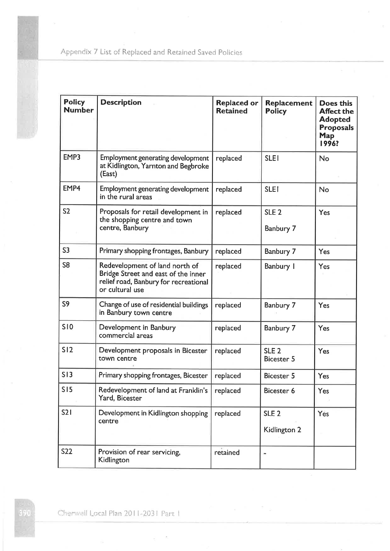| <b>Policy</b><br><b>Number</b> | <b>Description</b>                                                                                                                | <b>Replaced or</b><br><b>Retained</b> | <b>Replacement</b><br><b>Policy</b>   | <b>Does this</b><br><b>Affect the</b><br><b>Adopted</b><br><b>Proposals</b><br><b>Map</b><br>1996? |
|--------------------------------|-----------------------------------------------------------------------------------------------------------------------------------|---------------------------------------|---------------------------------------|----------------------------------------------------------------------------------------------------|
| EMP3                           | Employment generating development<br>at Kidlington, Yarnton and Begbroke<br>(East)                                                | replaced                              | <b>SLEI</b>                           | No                                                                                                 |
| EMP4                           | Employment generating development<br>in the rural areas                                                                           | replaced                              | <b>SLEI</b>                           | <b>No</b>                                                                                          |
| S <sub>2</sub>                 | Proposals for retail development in<br>the shopping centre and town<br>centre, Banbury                                            | replaced                              | SLE <sub>2</sub><br>Banbury 7         | Yes                                                                                                |
| S <sub>3</sub>                 | Primary shopping frontages, Banbury                                                                                               | replaced                              | Banbury 7                             | Yes                                                                                                |
| S <sub>8</sub>                 | Redevelopment of land north of<br>Bridge Street and east of the inner<br>relief road, Banbury for recreational<br>or cultural use | replaced                              | Banbury I                             | Yes                                                                                                |
| S <sub>9</sub>                 | Change of use of residential buildings<br>in Banbury town centre                                                                  | replaced                              | Banbury 7                             | Yes                                                                                                |
| <b>SI0</b>                     | Development in Banbury<br>commercial areas                                                                                        | replaced                              | Banbury 7                             | Yes                                                                                                |
| S12                            | Development proposals in Bicester<br>town centre                                                                                  | replaced                              | SLE <sub>2</sub><br><b>Bicester 5</b> | Yes                                                                                                |
| S13                            | Primary shopping frontages, Bicester                                                                                              | replaced                              | <b>Bicester 5</b>                     | Yes                                                                                                |
| S15                            | Redevelopment of land at Franklin's<br>Yard, Bicester                                                                             | replaced                              | Bicester 6                            | Yes                                                                                                |
| S21                            | Development in Kidlington shopping<br>centre                                                                                      | replaced                              | SLE <sub>2</sub><br>Kidlington 2      | Yes                                                                                                |
| <b>S22</b>                     | Provision of rear servicing,<br>Kidlington                                                                                        | retained                              |                                       |                                                                                                    |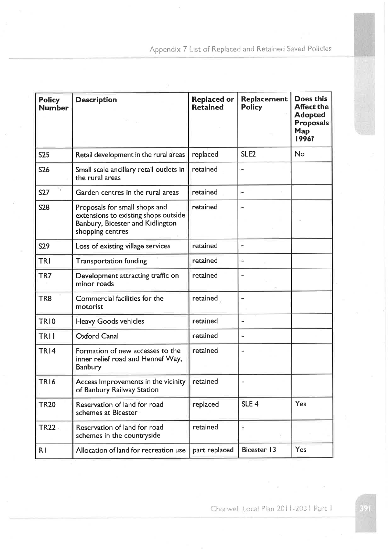| <b>Policy</b><br><b>Number</b> | <b>Description</b>                                                                                                            | <b>Replaced or</b><br><b>Retained</b> | <b>Replacement</b><br><b>Policy</b> | <b>Does this</b><br><b>Affect the</b><br><b>Adopted</b><br><b>Proposals</b><br>Map<br>1996? |
|--------------------------------|-------------------------------------------------------------------------------------------------------------------------------|---------------------------------------|-------------------------------------|---------------------------------------------------------------------------------------------|
| <b>S25</b>                     | Retail development in the rural areas                                                                                         | replaced                              | SLE <sub>2</sub>                    | No                                                                                          |
| <b>S26</b>                     | Small scale ancillary retail outlets in<br>the rural areas                                                                    | retained                              |                                     |                                                                                             |
| <b>S27</b>                     | Garden centres in the rural areas                                                                                             | retained                              | $\blacksquare$                      |                                                                                             |
| <b>S28</b>                     | Proposals for small shops and<br>extensions to existing shops outside<br>Banbury, Bicester and Kidlington<br>shopping centres | retained                              |                                     |                                                                                             |
| <b>S29</b>                     | Loss of existing village services                                                                                             | retained                              |                                     |                                                                                             |
| <b>TRI</b>                     | <b>Transportation funding</b>                                                                                                 | retained                              | ٠                                   |                                                                                             |
| TR7                            | Development attracting traffic on<br>minor roads                                                                              | retained                              |                                     |                                                                                             |
| TR <sub>8</sub>                | Commercial facilities for the<br>motorist                                                                                     | retained                              |                                     |                                                                                             |
| TR10                           | <b>Heavy Goods vehicles</b>                                                                                                   | retained                              |                                     |                                                                                             |
| <b>TRII</b>                    | <b>Oxford Canal</b>                                                                                                           | retained                              | w.                                  |                                                                                             |
| <b>TR14</b>                    | Formation of new accesses to the<br>inner relief road and Hennef Way,<br>Banbury                                              | retained                              |                                     |                                                                                             |
| TR <sub>16</sub>               | Access Improvements in the vicinity<br>of Banbury Railway Station                                                             | retained                              |                                     |                                                                                             |
| <b>TR20</b>                    | Reservation of land for road<br>schemes at Bicester                                                                           | replaced                              | SLE <sub>4</sub>                    | Yes                                                                                         |
| <b>TR22</b>                    | Reservation of land for road<br>schemes in the countryside                                                                    | retained                              |                                     |                                                                                             |
| R I                            | Allocation of land for recreation use                                                                                         | part replaced                         | <b>Bicester 13</b>                  | Yes                                                                                         |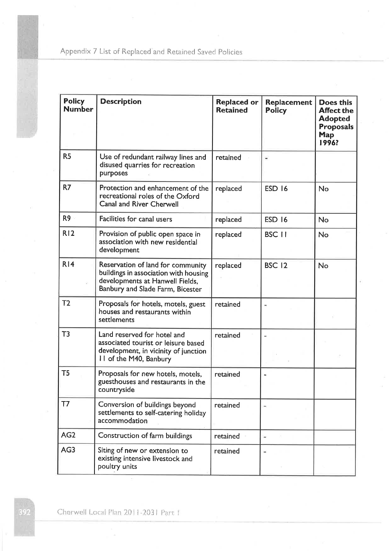| <b>Policy</b><br><b>Number</b> | <b>Description</b>                                                                                                                                | <b>Replaced or</b><br><b>Retained</b> | <b>Replacement</b><br><b>Policy</b> | <b>Does this</b><br><b>Affect the</b><br><b>Adopted</b><br><b>Proposals</b><br>Map<br>1996? |
|--------------------------------|---------------------------------------------------------------------------------------------------------------------------------------------------|---------------------------------------|-------------------------------------|---------------------------------------------------------------------------------------------|
| R <sub>5</sub>                 | Use of redundant railway lines and<br>disused quarries for recreation<br>purposes                                                                 | retained                              |                                     |                                                                                             |
| R7                             | Protection and enhancement of the<br>recreational roles of the Oxford<br><b>Canal and River Cherwell</b>                                          | replaced                              | <b>ESD 16</b>                       | <b>No</b>                                                                                   |
| R <sub>9</sub>                 | Facilities for canal users                                                                                                                        | replaced                              | <b>ESD 16</b>                       | <b>No</b>                                                                                   |
| R12                            | Provision of public open space in<br>association with new residential<br>development                                                              | replaced                              | <b>BSC 11</b>                       | No                                                                                          |
| R14                            | Reservation of land for community<br>buildings in association with housing<br>developments at Hanwell Fields,<br>Banbury and Slade Farm, Bicester | replaced                              | <b>BSC 12</b>                       | <b>No</b>                                                                                   |
| T <sub>2</sub>                 | Proposals for hotels, motels, guest<br>houses and restaurants within<br>settlements                                                               | retained                              |                                     |                                                                                             |
| T3                             | Land reserved for hotel and<br>associated tourist or leisure based<br>development, in vicinity of junction<br>II of the M40, Banbury              | retained                              |                                     |                                                                                             |
| T <sub>5</sub>                 | Proposals for new hotels, motels,<br>guesthouses and restaurants in the<br>countryside                                                            | retained                              |                                     |                                                                                             |
| T7                             | Conversion of buildings beyond<br>settlements to self-catering holiday<br>accommodation                                                           | retained                              |                                     |                                                                                             |
| AG <sub>2</sub>                | Construction of farm buildings                                                                                                                    | retained                              |                                     |                                                                                             |
| AG3                            | Siting of new or extension to<br>existing intensive livestock and<br>poultry units                                                                | retained                              |                                     |                                                                                             |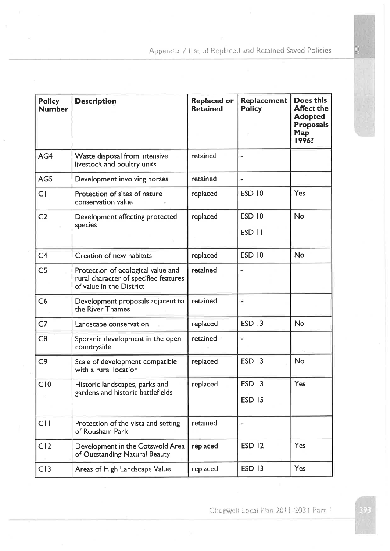| <b>Policy</b><br><b>Number</b> | <b>Description</b>                                                                                      | <b>Replaced or</b><br><b>Retained</b> | Replacement<br><b>Policy</b> | <b>Does this</b><br><b>Affect the</b><br><b>Adopted</b><br><b>Proposals</b><br>Map<br>1996? |
|--------------------------------|---------------------------------------------------------------------------------------------------------|---------------------------------------|------------------------------|---------------------------------------------------------------------------------------------|
| AG4                            | Waste disposal from intensive<br>livestock and poultry units                                            | retained                              |                              |                                                                                             |
| AG5                            | Development involving horses                                                                            | retained                              | -                            |                                                                                             |
| CI                             | Protection of sites of nature<br>conservation value                                                     | replaced                              | ESD 10                       | Yes                                                                                         |
| C <sub>2</sub>                 | Development affecting protected                                                                         | replaced                              | ESD 10                       | No                                                                                          |
|                                | species                                                                                                 |                                       | ESD 11                       |                                                                                             |
| C <sub>4</sub>                 | Creation of new habitats                                                                                | replaced                              | <b>ESD 10</b>                | No                                                                                          |
| C <sub>5</sub>                 | Protection of ecological value and<br>rural character of specified features<br>of value in the District | retained                              |                              |                                                                                             |
| C6                             | Development proposals adjacent to<br>the River Thames                                                   | retained                              | ίú,                          |                                                                                             |
| C <sub>7</sub>                 | Landscape conservation                                                                                  | replaced                              | <b>ESD 13</b>                | No                                                                                          |
| C8                             | Sporadic development in the open<br>countryside                                                         | retained                              |                              |                                                                                             |
| C9                             | Scale of development compatible<br>with a rural location                                                | replaced                              | <b>ESD 13</b>                | No                                                                                          |
| C10                            | Historic landscapes, parks and<br>gardens and historic battlefields                                     | replaced                              | <b>ESD 13</b>                | Yes                                                                                         |
|                                |                                                                                                         |                                       | <b>ESD 15</b>                |                                                                                             |
| C11                            | Protection of the vista and setting<br>of Rousham Park                                                  | retained                              |                              |                                                                                             |
| C <sub>12</sub>                | Development in the Cotswold Area<br>of Outstanding Natural Beauty                                       | replaced                              | <b>ESD 12</b>                | Yes                                                                                         |
| C13                            | Areas of High Landscape Value                                                                           | replaced                              | <b>ESD 13</b>                | Yes                                                                                         |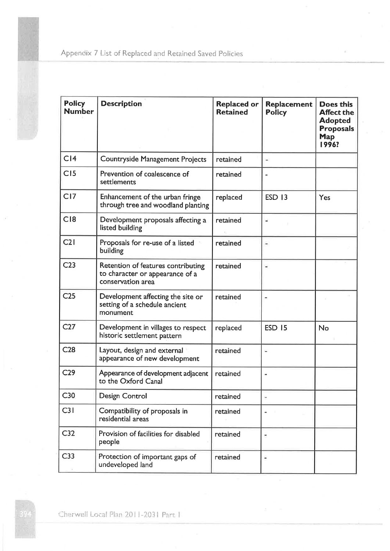| <b>Policy</b><br><b>Number</b> | <b>Description</b>                                                                         | <b>Replaced or</b><br><b>Retained</b> | Replacement<br><b>Policy</b> | <b>Does this</b><br><b>Affect the</b><br><b>Adopted</b><br><b>Proposals</b><br><b>Map</b><br>1996? |
|--------------------------------|--------------------------------------------------------------------------------------------|---------------------------------------|------------------------------|----------------------------------------------------------------------------------------------------|
| C <sub>14</sub>                | Countryside Management Projects                                                            | retained                              | ۰                            |                                                                                                    |
| C15                            | Prevention of coalescence of<br>settlements                                                | retained                              |                              |                                                                                                    |
| CI7                            | Enhancement of the urban fringe<br>through tree and woodland planting                      | replaced                              | <b>ESD 13</b>                | Yes                                                                                                |
| C18                            | Development proposals affecting a<br>listed building                                       | retained                              | u,                           |                                                                                                    |
| C21                            | Proposals for re-use of a listed<br>building                                               | retained                              | i.                           |                                                                                                    |
| C <sub>23</sub>                | Retention of features contributing<br>to character or appearance of a<br>conservation area | retained                              | $\blacksquare$               |                                                                                                    |
| C <sub>25</sub>                | Development affecting the site or<br>setting of a schedule ancient<br>monument             | retained                              |                              |                                                                                                    |
| C27                            | Development in villages to respect<br>historic settlement pattern                          | replaced                              | <b>ESD 15</b>                | No                                                                                                 |
| C <sub>28</sub>                | Layout, design and external<br>appearance of new development                               | retained                              |                              |                                                                                                    |
| C <sub>29</sub>                | Appearance of development adjacent<br>to the Oxford Canal                                  | retained                              |                              |                                                                                                    |
| C <sub>30</sub>                | Design Control                                                                             | retained                              | ÷                            |                                                                                                    |
| C31                            | Compatibility of proposals in<br>residential areas                                         | retained                              |                              |                                                                                                    |
| C <sub>32</sub>                | Provision of facilities for disabled<br>people                                             | retained                              |                              |                                                                                                    |
| C33                            | Protection of important gaps of<br>undeveloped land                                        | retained                              | ÷                            |                                                                                                    |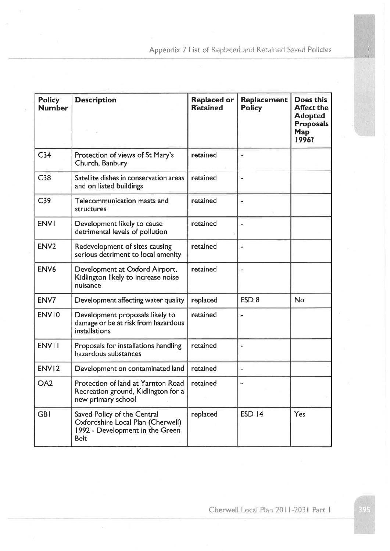| <b>Policy</b><br><b>Number</b> | <b>Description</b>                                                                                                 | <b>Replaced or</b><br><b>Retained</b> | <b>Replacement</b><br><b>Policy</b> | <b>Does this</b><br><b>Affect the</b><br><b>Adopted</b><br><b>Proposals</b><br>Map<br>1996? |
|--------------------------------|--------------------------------------------------------------------------------------------------------------------|---------------------------------------|-------------------------------------|---------------------------------------------------------------------------------------------|
| C <sub>34</sub>                | Protection of views of St Mary's<br>Church, Banbury                                                                | retained                              |                                     |                                                                                             |
| C38                            | Satellite dishes in conservation areas<br>and on listed buildings                                                  | retained                              | $\overline{\phantom{a}}$            |                                                                                             |
| C <sub>39</sub>                | Telecommunication masts and<br>structures                                                                          | retained                              | $\blacksquare$                      |                                                                                             |
| <b>ENVI</b>                    | Development likely to cause<br>detrimental levels of pollution                                                     | retained                              |                                     |                                                                                             |
| ENV <sub>2</sub>               | Redevelopment of sites causing<br>serious detriment to local amenity                                               | retained                              | $\overline{\phantom{a}}$            |                                                                                             |
| ENV <sub>6</sub>               | Development at Oxford Airport,<br>Kidlington likely to increase noise<br>nuisance                                  | retained                              |                                     |                                                                                             |
| ENV7                           | Development affecting water quality                                                                                | replaced                              | ESD <sub>8</sub>                    | No                                                                                          |
| ENV10                          | Development proposals likely to<br>damage or be at risk from hazardous<br>installations                            | retained                              |                                     |                                                                                             |
| <b>ENVII</b>                   | Proposals for installations handling<br>hazardous substances                                                       | retained                              |                                     |                                                                                             |
| ENV12                          | Development on contaminated land                                                                                   | retained                              | Ξ                                   |                                                                                             |
| OA <sub>2</sub>                | Protection of land at Yarnton Road<br>Recreation ground, Kidlington for a<br>new primary school                    | retained                              |                                     |                                                                                             |
| <b>GBI</b>                     | Saved Policy of the Central<br>Oxfordshire Local Plan (Cherwell)<br>1992 - Development in the Green<br><b>Belt</b> | replaced                              | <b>ESD 14</b>                       | Yes                                                                                         |